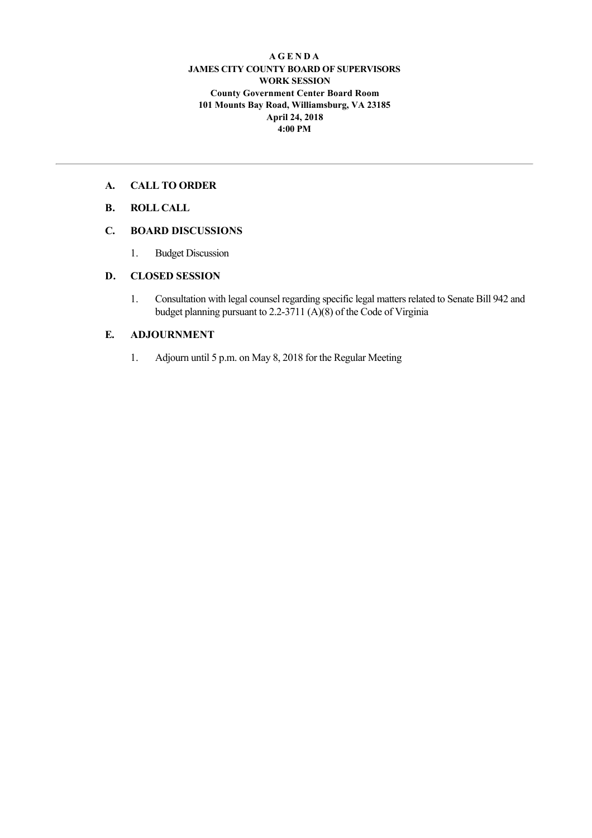#### **A G E N D A JAMES CITY COUNTY BOARD OF SUPERVISORS WORK SESSION County Government Center Board Room 101 Mounts Bay Road, Williamsburg, VA 23185 April 24, 2018 4:00 PM**

## **A. CALL TO ORDER**

# **B. ROLL CALL**

# **C. BOARD DISCUSSIONS**

1. Budget Discussion

## **D. CLOSED SESSION**

1. Consultation with legal counsel regarding specific legal matters related to Senate Bill 942 and budget planning pursuant to 2.2-3711 (A)(8) of the Code of Virginia

## **E. ADJOURNMENT**

1. Adjourn until 5 p.m. on May 8, 2018 for the Regular Meeting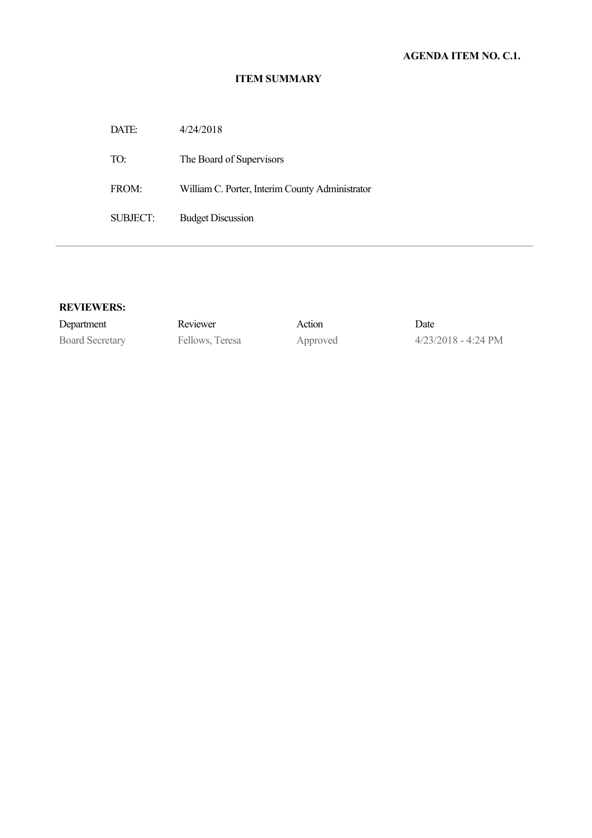#### **ITEM SUMMARY**

DATE: 4/24/2018 TO: The Board of Supervisors FROM: William C. Porter, Interim County Administrator SUBJECT: Budget Discussion

#### **REVIEWERS:**

Department Reviewer Action Date

Board Secretary Fellows, Teresa Approved 4/23/2018 - 4:24 PM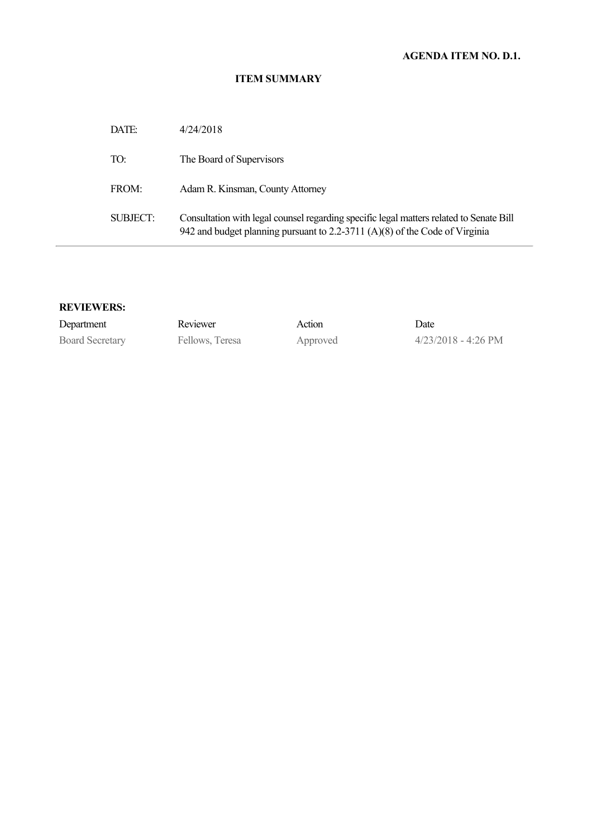### **ITEM SUMMARY**

| DATE:    | 4/24/2018                                                                                                                                                              |
|----------|------------------------------------------------------------------------------------------------------------------------------------------------------------------------|
| TO:      | The Board of Supervisors                                                                                                                                               |
| FROM:    | Adam R. Kinsman, County Attorney                                                                                                                                       |
| SUBJECT: | Consultation with legal counsel regarding specific legal matters related to Senate Bill<br>942 and budget planning pursuant to 2.2-3711 (A)(8) of the Code of Virginia |

## **REVIEWERS:**

| Department             | Reviewer        | Action   | Date                          |
|------------------------|-----------------|----------|-------------------------------|
| <b>Board Secretary</b> | Fellows, Teresa | Approved | $4/23/2018 - 4:26 \text{ PM}$ |